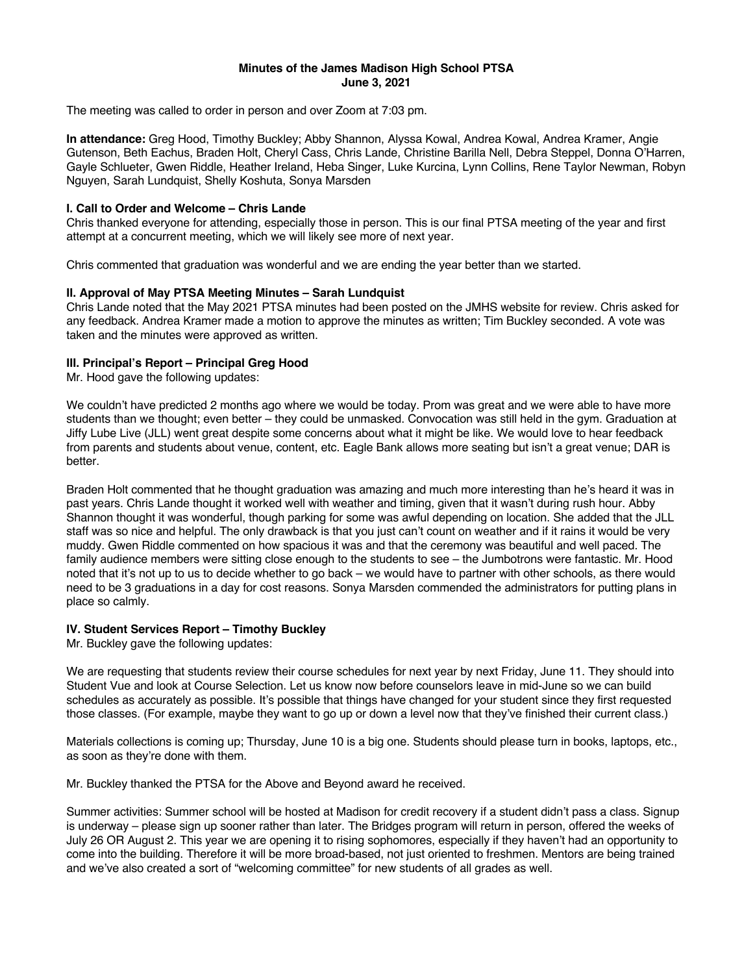## **Minutes of the James Madison High School PTSA June 3, 2021**

The meeting was called to order in person and over Zoom at 7:03 pm.

**In attendance:** Greg Hood, Timothy Buckley; Abby Shannon, Alyssa Kowal, Andrea Kowal, Andrea Kramer, Angie Gutenson, Beth Eachus, Braden Holt, Cheryl Cass, Chris Lande, Christine Barilla Nell, Debra Steppel, Donna O'Harren, Gayle Schlueter, Gwen Riddle, Heather Ireland, Heba Singer, Luke Kurcina, Lynn Collins, Rene Taylor Newman, Robyn Nguyen, Sarah Lundquist, Shelly Koshuta, Sonya Marsden

## **I. Call to Order and Welcome – Chris Lande**

Chris thanked everyone for attending, especially those in person. This is our final PTSA meeting of the year and first attempt at a concurrent meeting, which we will likely see more of next year.

Chris commented that graduation was wonderful and we are ending the year better than we started.

# **II. Approval of May PTSA Meeting Minutes – Sarah Lundquist**

Chris Lande noted that the May 2021 PTSA minutes had been posted on the JMHS website for review. Chris asked for any feedback. Andrea Kramer made a motion to approve the minutes as written; Tim Buckley seconded. A vote was taken and the minutes were approved as written.

## **III. Principal's Report – Principal Greg Hood**

Mr. Hood gave the following updates:

We couldn't have predicted 2 months ago where we would be today. Prom was great and we were able to have more students than we thought; even better – they could be unmasked. Convocation was still held in the gym. Graduation at Jiffy Lube Live (JLL) went great despite some concerns about what it might be like. We would love to hear feedback from parents and students about venue, content, etc. Eagle Bank allows more seating but isn't a great venue; DAR is better.

Braden Holt commented that he thought graduation was amazing and much more interesting than he's heard it was in past years. Chris Lande thought it worked well with weather and timing, given that it wasn't during rush hour. Abby Shannon thought it was wonderful, though parking for some was awful depending on location. She added that the JLL staff was so nice and helpful. The only drawback is that you just can't count on weather and if it rains it would be very muddy. Gwen Riddle commented on how spacious it was and that the ceremony was beautiful and well paced. The family audience members were sitting close enough to the students to see – the Jumbotrons were fantastic. Mr. Hood noted that it's not up to us to decide whether to go back – we would have to partner with other schools, as there would need to be 3 graduations in a day for cost reasons. Sonya Marsden commended the administrators for putting plans in place so calmly.

# **IV. Student Services Report – Timothy Buckley**

Mr. Buckley gave the following updates:

We are requesting that students review their course schedules for next year by next Friday, June 11. They should into Student Vue and look at Course Selection. Let us know now before counselors leave in mid-June so we can build schedules as accurately as possible. It's possible that things have changed for your student since they first requested those classes. (For example, maybe they want to go up or down a level now that they've finished their current class.)

Materials collections is coming up; Thursday, June 10 is a big one. Students should please turn in books, laptops, etc., as soon as they're done with them.

Mr. Buckley thanked the PTSA for the Above and Beyond award he received.

Summer activities: Summer school will be hosted at Madison for credit recovery if a student didn't pass a class. Signup is underway – please sign up sooner rather than later. The Bridges program will return in person, offered the weeks of July 26 OR August 2. This year we are opening it to rising sophomores, especially if they haven't had an opportunity to come into the building. Therefore it will be more broad-based, not just oriented to freshmen. Mentors are being trained and we've also created a sort of "welcoming committee" for new students of all grades as well.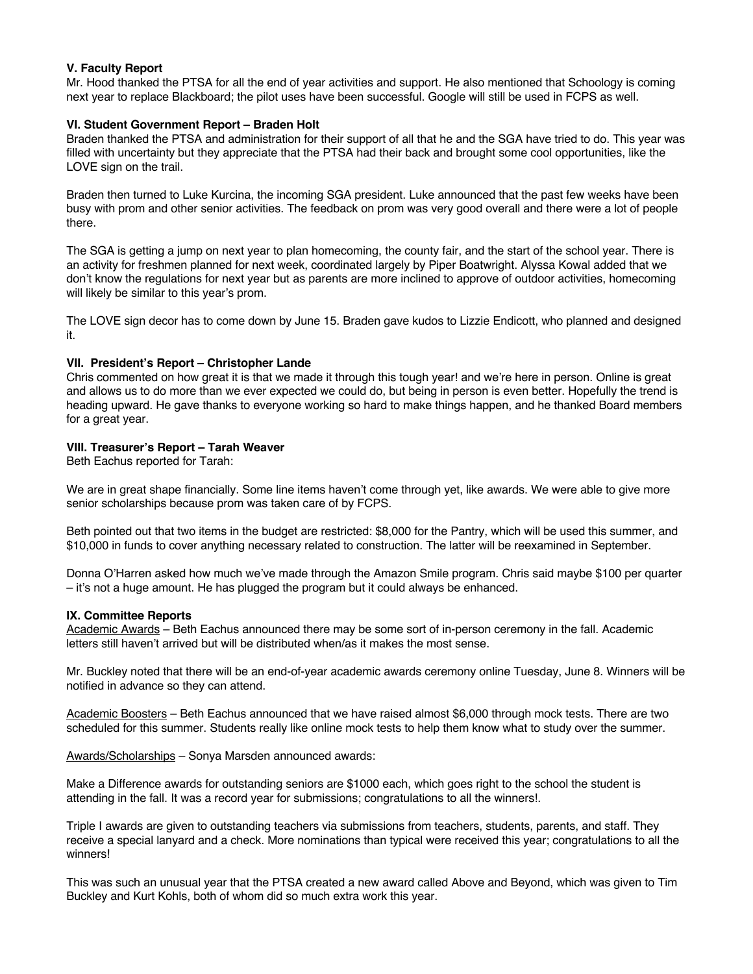## **V. Faculty Report**

Mr. Hood thanked the PTSA for all the end of year activities and support. He also mentioned that Schoology is coming next year to replace Blackboard; the pilot uses have been successful. Google will still be used in FCPS as well.

## **VI. Student Government Report – Braden Holt**

Braden thanked the PTSA and administration for their support of all that he and the SGA have tried to do. This year was filled with uncertainty but they appreciate that the PTSA had their back and brought some cool opportunities, like the LOVE sign on the trail.

Braden then turned to Luke Kurcina, the incoming SGA president. Luke announced that the past few weeks have been busy with prom and other senior activities. The feedback on prom was very good overall and there were a lot of people there.

The SGA is getting a jump on next year to plan homecoming, the county fair, and the start of the school year. There is an activity for freshmen planned for next week, coordinated largely by Piper Boatwright. Alyssa Kowal added that we don't know the regulations for next year but as parents are more inclined to approve of outdoor activities, homecoming will likely be similar to this year's prom.

The LOVE sign decor has to come down by June 15. Braden gave kudos to Lizzie Endicott, who planned and designed it.

## **VII. President's Report – Christopher Lande**

Chris commented on how great it is that we made it through this tough year! and we're here in person. Online is great and allows us to do more than we ever expected we could do, but being in person is even better. Hopefully the trend is heading upward. He gave thanks to everyone working so hard to make things happen, and he thanked Board members for a great year.

## **VIII. Treasurer's Report – Tarah Weaver**

Beth Eachus reported for Tarah:

We are in great shape financially. Some line items haven't come through yet, like awards. We were able to give more senior scholarships because prom was taken care of by FCPS.

Beth pointed out that two items in the budget are restricted: \$8,000 for the Pantry, which will be used this summer, and \$10,000 in funds to cover anything necessary related to construction. The latter will be reexamined in September.

Donna O'Harren asked how much we've made through the Amazon Smile program. Chris said maybe \$100 per quarter – it's not a huge amount. He has plugged the program but it could always be enhanced.

#### **IX. Committee Reports**

Academic Awards – Beth Eachus announced there may be some sort of in-person ceremony in the fall. Academic letters still haven't arrived but will be distributed when/as it makes the most sense.

Mr. Buckley noted that there will be an end-of-year academic awards ceremony online Tuesday, June 8. Winners will be notified in advance so they can attend.

Academic Boosters – Beth Eachus announced that we have raised almost \$6,000 through mock tests. There are two scheduled for this summer. Students really like online mock tests to help them know what to study over the summer.

Awards/Scholarships – Sonya Marsden announced awards:

Make a Difference awards for outstanding seniors are \$1000 each, which goes right to the school the student is attending in the fall. It was a record year for submissions; congratulations to all the winners!.

Triple I awards are given to outstanding teachers via submissions from teachers, students, parents, and staff. They receive a special lanyard and a check. More nominations than typical were received this year; congratulations to all the winners!

This was such an unusual year that the PTSA created a new award called Above and Beyond, which was given to Tim Buckley and Kurt Kohls, both of whom did so much extra work this year.